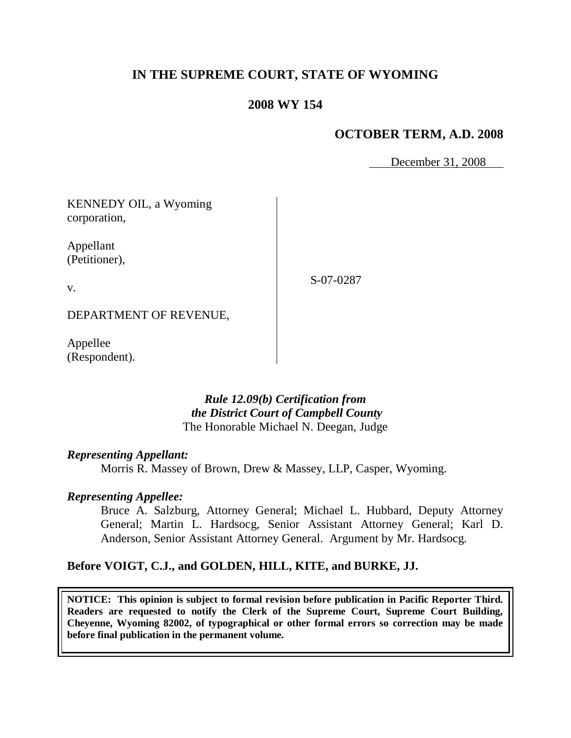# **IN THE SUPREME COURT, STATE OF WYOMING**

### **2008 WY 154**

# **OCTOBER TERM, A.D. 2008**

December 31, 2008

KENNEDY OIL, a Wyoming corporation,

Appellant (Petitioner),

v.

S-07-0287

DEPARTMENT OF REVENUE,

Appellee (Respondent).

### *Rule 12.09(b) Certification from the District Court of Campbell County* The Honorable Michael N. Deegan, Judge

#### *Representing Appellant:*

Morris R. Massey of Brown, Drew & Massey, LLP, Casper, Wyoming.

#### *Representing Appellee:*

Bruce A. Salzburg, Attorney General; Michael L. Hubbard, Deputy Attorney General; Martin L. Hardsocg, Senior Assistant Attorney General; Karl D. Anderson, Senior Assistant Attorney General. Argument by Mr. Hardsocg.

#### **Before VOIGT, C.J., and GOLDEN, HILL, KITE, and BURKE, JJ.**

**NOTICE: This opinion is subject to formal revision before publication in Pacific Reporter Third. Readers are requested to notify the Clerk of the Supreme Court, Supreme Court Building, Cheyenne, Wyoming 82002, of typographical or other formal errors so correction may be made before final publication in the permanent volume.**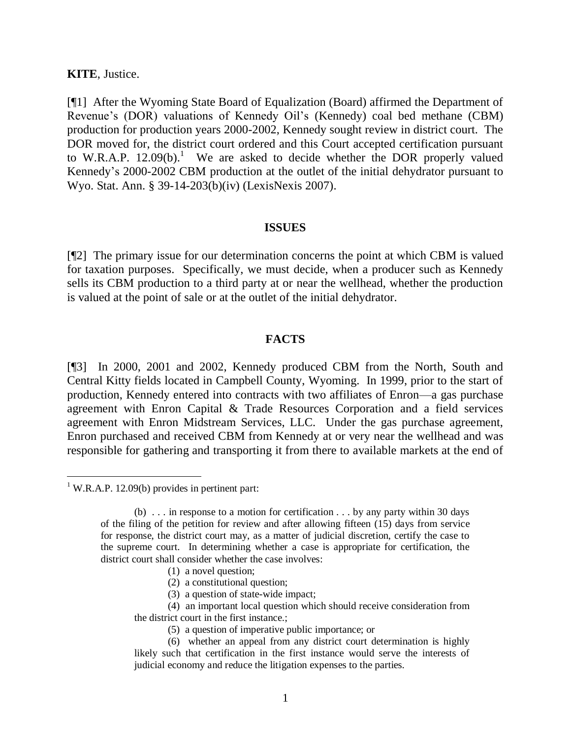### **KITE**, Justice.

[¶1] After the Wyoming State Board of Equalization (Board) affirmed the Department of Revenue's (DOR) valuations of Kennedy Oil's (Kennedy) coal bed methane (CBM) production for production years 2000-2002, Kennedy sought review in district court. The DOR moved for, the district court ordered and this Court accepted certification pursuant to W.R.A.P.  $12.09(b)$ <sup>1</sup> We are asked to decide whether the DOR properly valued Kennedy's 2000-2002 CBM production at the outlet of the initial dehydrator pursuant to Wyo. Stat. Ann. § 39-14-203(b)(iv) (LexisNexis 2007).

### **ISSUES**

[¶2] The primary issue for our determination concerns the point at which CBM is valued for taxation purposes. Specifically, we must decide, when a producer such as Kennedy sells its CBM production to a third party at or near the wellhead, whether the production is valued at the point of sale or at the outlet of the initial dehydrator.

### **FACTS**

[¶3] In 2000, 2001 and 2002, Kennedy produced CBM from the North, South and Central Kitty fields located in Campbell County, Wyoming. In 1999, prior to the start of production, Kennedy entered into contracts with two affiliates of Enron—a gas purchase agreement with Enron Capital & Trade Resources Corporation and a field services agreement with Enron Midstream Services, LLC. Under the gas purchase agreement, Enron purchased and received CBM from Kennedy at or very near the wellhead and was responsible for gathering and transporting it from there to available markets at the end of

 $\overline{a}$ 

- (1) a novel question;
- (2) a constitutional question;
- (3) a question of state-wide impact;
- (4) an important local question which should receive consideration from the district court in the first instance.;
	- (5) a question of imperative public importance; or
- (6) whether an appeal from any district court determination is highly likely such that certification in the first instance would serve the interests of judicial economy and reduce the litigation expenses to the parties.

 $1$  W.R.A.P. 12.09(b) provides in pertinent part:

<sup>(</sup>b) . . . in response to a motion for certification . . . by any party within 30 days of the filing of the petition for review and after allowing fifteen (15) days from service for response, the district court may, as a matter of judicial discretion, certify the case to the supreme court. In determining whether a case is appropriate for certification, the district court shall consider whether the case involves: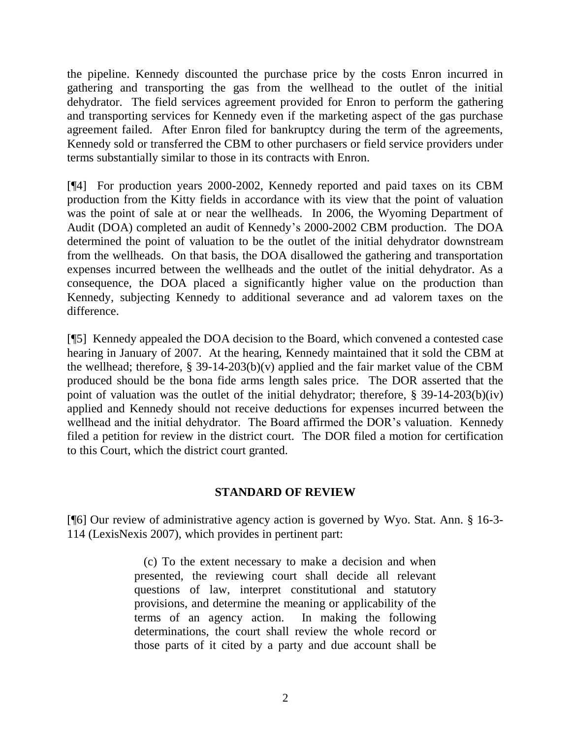the pipeline. Kennedy discounted the purchase price by the costs Enron incurred in gathering and transporting the gas from the wellhead to the outlet of the initial dehydrator. The field services agreement provided for Enron to perform the gathering and transporting services for Kennedy even if the marketing aspect of the gas purchase agreement failed. After Enron filed for bankruptcy during the term of the agreements, Kennedy sold or transferred the CBM to other purchasers or field service providers under terms substantially similar to those in its contracts with Enron.

[¶4] For production years 2000-2002, Kennedy reported and paid taxes on its CBM production from the Kitty fields in accordance with its view that the point of valuation was the point of sale at or near the wellheads. In 2006, the Wyoming Department of Audit (DOA) completed an audit of Kennedy's 2000-2002 CBM production. The DOA determined the point of valuation to be the outlet of the initial dehydrator downstream from the wellheads. On that basis, the DOA disallowed the gathering and transportation expenses incurred between the wellheads and the outlet of the initial dehydrator. As a consequence, the DOA placed a significantly higher value on the production than Kennedy, subjecting Kennedy to additional severance and ad valorem taxes on the difference.

[¶5] Kennedy appealed the DOA decision to the Board, which convened a contested case hearing in January of 2007. At the hearing, Kennedy maintained that it sold the CBM at the wellhead; therefore, § 39-14-203(b)(v) applied and the fair market value of the CBM produced should be the bona fide arms length sales price. The DOR asserted that the point of valuation was the outlet of the initial dehydrator; therefore,  $\S$  39-14-203(b)(iv) applied and Kennedy should not receive deductions for expenses incurred between the wellhead and the initial dehydrator. The Board affirmed the DOR's valuation. Kennedy filed a petition for review in the district court. The DOR filed a motion for certification to this Court, which the district court granted.

## **STANDARD OF REVIEW**

[¶6] Our review of administrative agency action is governed by Wyo. Stat. Ann. § 16-3- 114 (LexisNexis 2007), which provides in pertinent part:

> (c) To the extent necessary to make a decision and when presented, the reviewing court shall decide all relevant questions of law, interpret constitutional and statutory provisions, and determine the meaning or applicability of the terms of an agency action. In making the following determinations, the court shall review the whole record or those parts of it cited by a party and due account shall be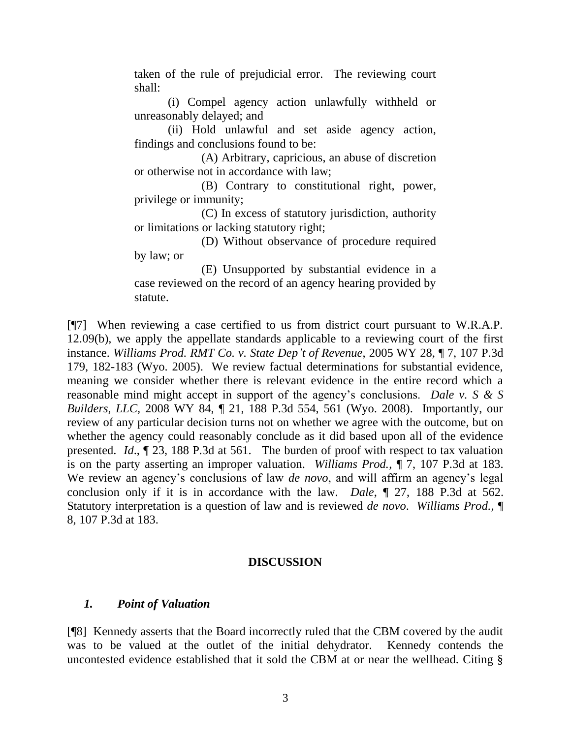taken of the rule of prejudicial error. The reviewing court shall:

(i) Compel agency action unlawfully withheld or unreasonably delayed; and

(ii) Hold unlawful and set aside agency action, findings and conclusions found to be:

(A) Arbitrary, capricious, an abuse of discretion or otherwise not in accordance with law;

(B) Contrary to constitutional right, power, privilege or immunity;

(C) In excess of statutory jurisdiction, authority or limitations or lacking statutory right;

(D) Without observance of procedure required by law; or

(E) Unsupported by substantial evidence in a case reviewed on the record of an agency hearing provided by statute.

[¶7] When reviewing a case certified to us from district court pursuant to W.R.A.P. 12.09(b), we apply the appellate standards applicable to a reviewing court of the first instance. *Williams Prod. RMT Co. v. State Dep't of Revenue*, 2005 WY 28, ¶ 7, 107 P.3d 179, 182-183 (Wyo. 2005). We review factual determinations for substantial evidence, meaning we consider whether there is relevant evidence in the entire record which a reasonable mind might accept in support of the agency's conclusions. *Dale v. S & S Builders, LLC,* 2008 WY 84, ¶ 21, 188 P.3d 554, 561 (Wyo. 2008). Importantly, our review of any particular decision turns not on whether we agree with the outcome, but on whether the agency could reasonably conclude as it did based upon all of the evidence presented. *Id*., ¶ 23, 188 P.3d at 561. The burden of proof with respect to tax valuation is on the party asserting an improper valuation. *Williams Prod.*, ¶ 7, 107 P.3d at 183. We review an agency's conclusions of law *de novo*, and will affirm an agency's legal conclusion only if it is in accordance with the law. *Dale*, ¶ 27, 188 P.3d at 562. Statutory interpretation is a question of law and is reviewed *de novo*. *Williams Prod.*, ¶ 8, 107 P.3d at 183.

### **DISCUSSION**

## *1. Point of Valuation*

[¶8] Kennedy asserts that the Board incorrectly ruled that the CBM covered by the audit was to be valued at the outlet of the initial dehydrator. Kennedy contends the uncontested evidence established that it sold the CBM at or near the wellhead. Citing §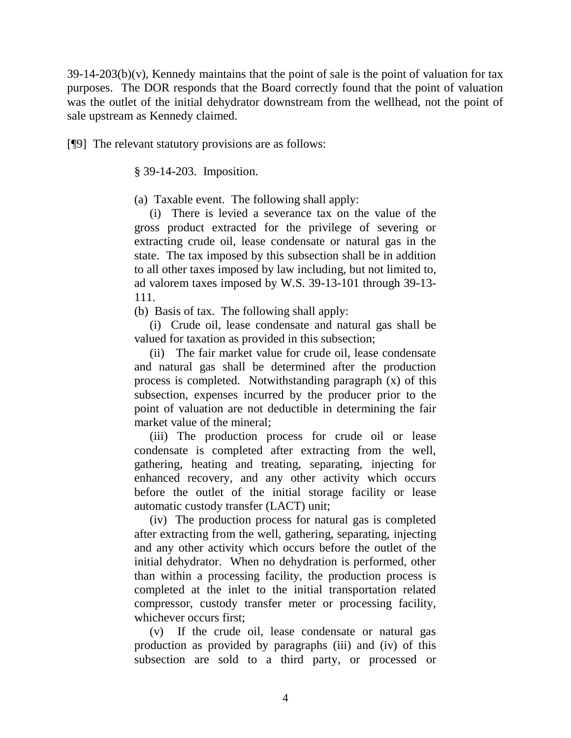$39-14-203(b)(v)$ , Kennedy maintains that the point of sale is the point of valuation for tax purposes. The DOR responds that the Board correctly found that the point of valuation was the outlet of the initial dehydrator downstream from the wellhead, not the point of sale upstream as Kennedy claimed.

[¶9] The relevant statutory provisions are as follows:

§ 39-14-203. Imposition.

(a) Taxable event. The following shall apply:

 (i) There is levied a severance tax on the value of the gross product extracted for the privilege of severing or extracting crude oil, lease condensate or natural gas in the state. The tax imposed by this subsection shall be in addition to all other taxes imposed by law including, but not limited to, ad valorem taxes imposed by W.S. 39-13-101 through 39-13- 111.

(b) Basis of tax. The following shall apply:

 (i) Crude oil, lease condensate and natural gas shall be valued for taxation as provided in this subsection;

 (ii) The fair market value for crude oil, lease condensate and natural gas shall be determined after the production process is completed. Notwithstanding paragraph (x) of this subsection, expenses incurred by the producer prior to the point of valuation are not deductible in determining the fair market value of the mineral;

 (iii) The production process for crude oil or lease condensate is completed after extracting from the well, gathering, heating and treating, separating, injecting for enhanced recovery, and any other activity which occurs before the outlet of the initial storage facility or lease automatic custody transfer (LACT) unit;

 (iv) The production process for natural gas is completed after extracting from the well, gathering, separating, injecting and any other activity which occurs before the outlet of the initial dehydrator. When no dehydration is performed, other than within a processing facility, the production process is completed at the inlet to the initial transportation related compressor, custody transfer meter or processing facility, whichever occurs first;

 (v) If the crude oil, lease condensate or natural gas production as provided by paragraphs (iii) and (iv) of this subsection are sold to a third party, or processed or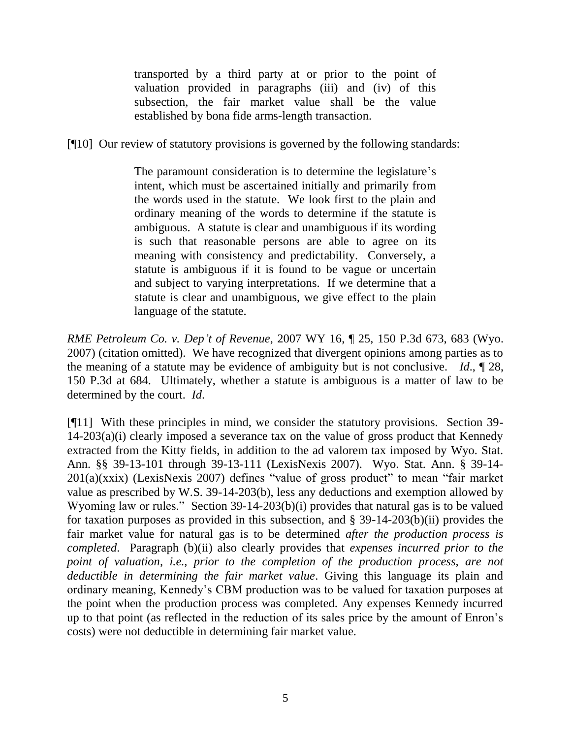transported by a third party at or prior to the point of valuation provided in paragraphs (iii) and (iv) of this subsection, the fair market value shall be the value established by bona fide arms-length transaction.

[¶10] Our review of statutory provisions is governed by the following standards:

The paramount consideration is to determine the legislature's intent, which must be ascertained initially and primarily from the words used in the statute. We look first to the plain and ordinary meaning of the words to determine if the statute is ambiguous. A statute is clear and unambiguous if its wording is such that reasonable persons are able to agree on its meaning with consistency and predictability. Conversely, a statute is ambiguous if it is found to be vague or uncertain and subject to varying interpretations. If we determine that a statute is clear and unambiguous, we give effect to the plain language of the statute.

*RME Petroleum Co. v. Dep't of Revenue*, 2007 WY 16, ¶ 25, 150 P.3d 673, 683 (Wyo. 2007) (citation omitted). We have recognized that divergent opinions among parties as to the meaning of a statute may be evidence of ambiguity but is not conclusive. *Id*., ¶ 28, 150 P.3d at 684. Ultimately, whether a statute is ambiguous is a matter of law to be determined by the court. *Id*.

[¶11] With these principles in mind, we consider the statutory provisions. Section 39- 14-203(a)(i) clearly imposed a severance tax on the value of gross product that Kennedy extracted from the Kitty fields, in addition to the ad valorem tax imposed by Wyo. Stat. Ann. §§ 39-13-101 through 39-13-111 (LexisNexis 2007). Wyo. Stat. Ann. § 39-14-  $201(a)(xxix)$  (LexisNexis 2007) defines "value of gross product" to mean "fair market" value as prescribed by W.S. 39-14-203(b), less any deductions and exemption allowed by Wyoming law or rules." Section  $39-14-203(b)(i)$  provides that natural gas is to be valued for taxation purposes as provided in this subsection, and § 39-14-203(b)(ii) provides the fair market value for natural gas is to be determined *after the production process is completed*. Paragraph (b)(ii) also clearly provides that *expenses incurred prior to the point of valuation, i.e., prior to the completion of the production process, are not deductible in determining the fair market value*. Giving this language its plain and ordinary meaning, Kennedy's CBM production was to be valued for taxation purposes at the point when the production process was completed. Any expenses Kennedy incurred up to that point (as reflected in the reduction of its sales price by the amount of Enron's costs) were not deductible in determining fair market value.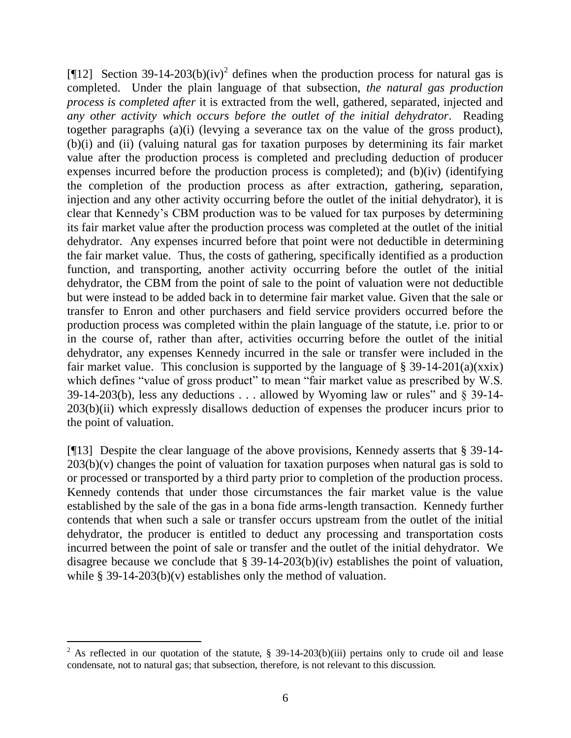[¶12] Section 39-14-203(b)(iv)<sup>2</sup> defines when the production process for natural gas is completed. Under the plain language of that subsection, *the natural gas production process is completed after* it is extracted from the well, gathered, separated, injected and *any other activity which occurs before the outlet of the initial dehydrator*. Reading together paragraphs (a)(i) (levying a severance tax on the value of the gross product), (b)(i) and (ii) (valuing natural gas for taxation purposes by determining its fair market value after the production process is completed and precluding deduction of producer expenses incurred before the production process is completed); and (b)(iv) (identifying the completion of the production process as after extraction, gathering, separation, injection and any other activity occurring before the outlet of the initial dehydrator), it is clear that Kennedy's CBM production was to be valued for tax purposes by determining its fair market value after the production process was completed at the outlet of the initial dehydrator. Any expenses incurred before that point were not deductible in determining the fair market value. Thus, the costs of gathering, specifically identified as a production function, and transporting, another activity occurring before the outlet of the initial dehydrator, the CBM from the point of sale to the point of valuation were not deductible but were instead to be added back in to determine fair market value. Given that the sale or transfer to Enron and other purchasers and field service providers occurred before the production process was completed within the plain language of the statute, i.e. prior to or in the course of, rather than after, activities occurring before the outlet of the initial dehydrator, any expenses Kennedy incurred in the sale or transfer were included in the fair market value. This conclusion is supported by the language of  $\S$  39-14-201(a)(xxix) which defines "value of gross product" to mean "fair market value as prescribed by W.S. 39-14-203(b), less any deductions . . . allowed by Wyoming law or rules" and  $\S$  39-14-203(b)(ii) which expressly disallows deduction of expenses the producer incurs prior to the point of valuation.

[¶13] Despite the clear language of the above provisions, Kennedy asserts that § 39-14-  $203(b)(v)$  changes the point of valuation for taxation purposes when natural gas is sold to or processed or transported by a third party prior to completion of the production process. Kennedy contends that under those circumstances the fair market value is the value established by the sale of the gas in a bona fide arms-length transaction. Kennedy further contends that when such a sale or transfer occurs upstream from the outlet of the initial dehydrator, the producer is entitled to deduct any processing and transportation costs incurred between the point of sale or transfer and the outlet of the initial dehydrator. We disagree because we conclude that § 39-14-203(b)(iv) establishes the point of valuation, while  $\S$  39-14-203(b)(v) establishes only the method of valuation.

 $\overline{a}$ 

<sup>&</sup>lt;sup>2</sup> As reflected in our quotation of the statute, § 39-14-203(b)(iii) pertains only to crude oil and lease condensate, not to natural gas; that subsection, therefore, is not relevant to this discussion.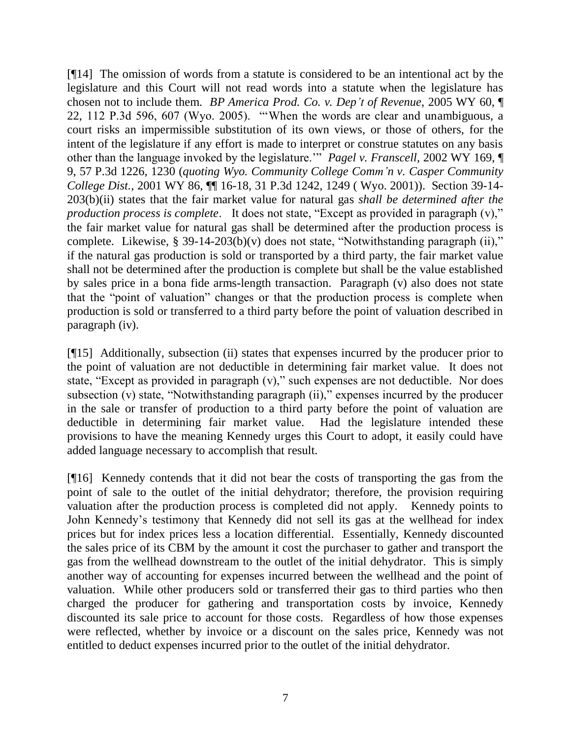[¶14] The omission of words from a statute is considered to be an intentional act by the legislature and this Court will not read words into a statute when the legislature has chosen not to include them. *BP America Prod. Co. v. Dep't of Revenue*, 2005 WY 60, ¶ 22, 112 P.3d 596, 607 (Wyo. 2005). "'When the words are clear and unambiguous, a court risks an impermissible substitution of its own views, or those of others, for the intent of the legislature if any effort is made to interpret or construe statutes on any basis other than the language invoked by the legislature."<sup>"</sup> *Pagel v. Franscell*, 2002 WY 169,  $\P$ 9, 57 P.3d 1226, 1230 (*quoting Wyo. Community College Comm'n v. Casper Community College Dist.,* 2001 WY 86, ¶¶ 16-18, 31 P.3d 1242, 1249 ( Wyo. 2001)). Section 39-14- 203(b)(ii) states that the fair market value for natural gas *shall be determined after the production process is complete.* It does not state, "Except as provided in paragraph (v)," the fair market value for natural gas shall be determined after the production process is complete. Likewise, § 39-14-203(b)(v) does not state, "Notwithstanding paragraph (ii)," if the natural gas production is sold or transported by a third party, the fair market value shall not be determined after the production is complete but shall be the value established by sales price in a bona fide arms-length transaction. Paragraph (v) also does not state that the "point of valuation" changes or that the production process is complete when production is sold or transferred to a third party before the point of valuation described in paragraph (iv).

[¶15] Additionally, subsection (ii) states that expenses incurred by the producer prior to the point of valuation are not deductible in determining fair market value. It does not state, "Except as provided in paragraph  $(v)$ ," such expenses are not deductible. Nor does subsection  $\overline{(v)}$  state, "Notwithstanding paragraph  $\overline{(ii)}$ ," expenses incurred by the producer in the sale or transfer of production to a third party before the point of valuation are deductible in determining fair market value. Had the legislature intended these provisions to have the meaning Kennedy urges this Court to adopt, it easily could have added language necessary to accomplish that result.

[¶16] Kennedy contends that it did not bear the costs of transporting the gas from the point of sale to the outlet of the initial dehydrator; therefore, the provision requiring valuation after the production process is completed did not apply. Kennedy points to John Kennedy's testimony that Kennedy did not sell its gas at the wellhead for index prices but for index prices less a location differential. Essentially, Kennedy discounted the sales price of its CBM by the amount it cost the purchaser to gather and transport the gas from the wellhead downstream to the outlet of the initial dehydrator. This is simply another way of accounting for expenses incurred between the wellhead and the point of valuation. While other producers sold or transferred their gas to third parties who then charged the producer for gathering and transportation costs by invoice, Kennedy discounted its sale price to account for those costs. Regardless of how those expenses were reflected, whether by invoice or a discount on the sales price, Kennedy was not entitled to deduct expenses incurred prior to the outlet of the initial dehydrator.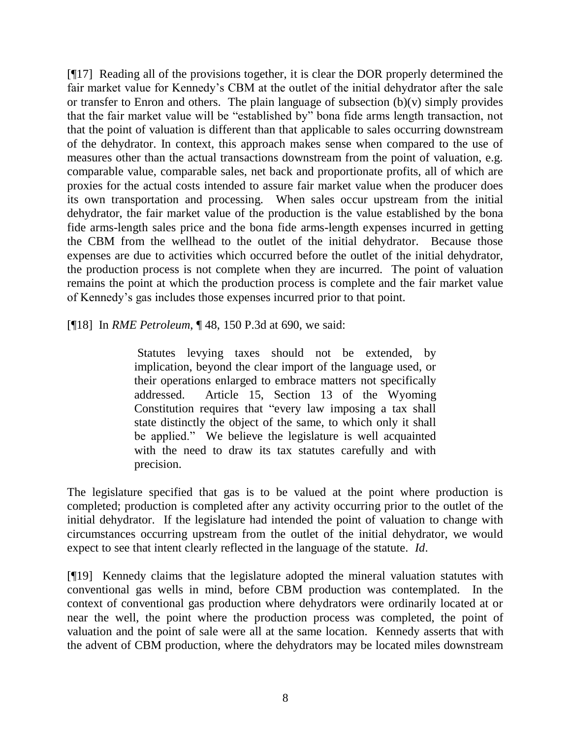[¶17] Reading all of the provisions together, it is clear the DOR properly determined the fair market value for Kennedy's CBM at the outlet of the initial dehydrator after the sale or transfer to Enron and others. The plain language of subsection  $(b)(v)$  simply provides that the fair market value will be "established by" bona fide arms length transaction, not that the point of valuation is different than that applicable to sales occurring downstream of the dehydrator. In context, this approach makes sense when compared to the use of measures other than the actual transactions downstream from the point of valuation, e.g. comparable value, comparable sales, net back and proportionate profits, all of which are proxies for the actual costs intended to assure fair market value when the producer does its own transportation and processing. When sales occur upstream from the initial dehydrator, the fair market value of the production is the value established by the bona fide arms-length sales price and the bona fide arms-length expenses incurred in getting the CBM from the wellhead to the outlet of the initial dehydrator. Because those expenses are due to activities which occurred before the outlet of the initial dehydrator, the production process is not complete when they are incurred. The point of valuation remains the point at which the production process is complete and the fair market value of Kennedy's gas includes those expenses incurred prior to that point.

[¶18] In *RME Petroleum*, ¶ 48, 150 P.3d at 690, we said:

Statutes levying taxes should not be extended, by implication, beyond the clear import of the language used, or their operations enlarged to embrace matters not specifically addressed. Article 15, Section 13 of the Wyoming Constitution requires that "every law imposing a tax shall state distinctly the object of the same, to which only it shall be applied." We believe the legislature is well acquainted with the need to draw its tax statutes carefully and with precision.

The legislature specified that gas is to be valued at the point where production is completed; production is completed after any activity occurring prior to the outlet of the initial dehydrator. If the legislature had intended the point of valuation to change with circumstances occurring upstream from the outlet of the initial dehydrator, we would expect to see that intent clearly reflected in the language of the statute. *Id*.

[¶19] Kennedy claims that the legislature adopted the mineral valuation statutes with conventional gas wells in mind, before CBM production was contemplated. In the context of conventional gas production where dehydrators were ordinarily located at or near the well, the point where the production process was completed, the point of valuation and the point of sale were all at the same location. Kennedy asserts that with the advent of CBM production, where the dehydrators may be located miles downstream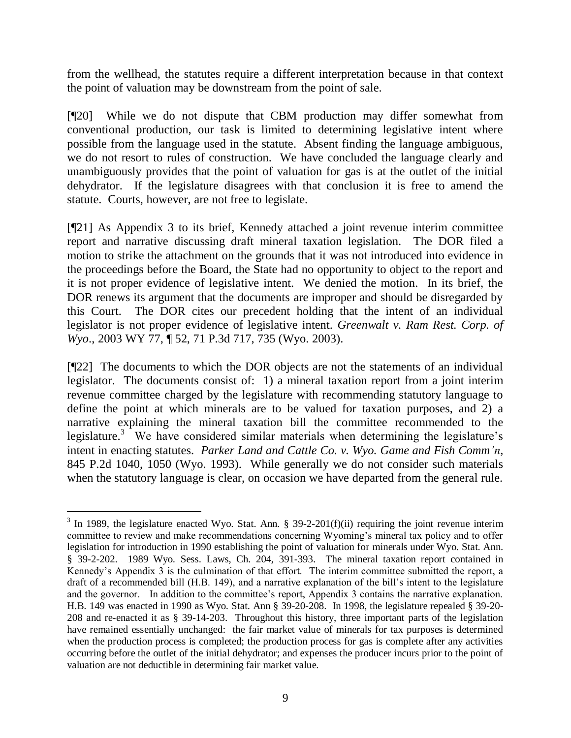from the wellhead, the statutes require a different interpretation because in that context the point of valuation may be downstream from the point of sale.

[¶20] While we do not dispute that CBM production may differ somewhat from conventional production, our task is limited to determining legislative intent where possible from the language used in the statute. Absent finding the language ambiguous, we do not resort to rules of construction. We have concluded the language clearly and unambiguously provides that the point of valuation for gas is at the outlet of the initial dehydrator. If the legislature disagrees with that conclusion it is free to amend the statute. Courts, however, are not free to legislate.

[¶21] As Appendix 3 to its brief, Kennedy attached a joint revenue interim committee report and narrative discussing draft mineral taxation legislation. The DOR filed a motion to strike the attachment on the grounds that it was not introduced into evidence in the proceedings before the Board, the State had no opportunity to object to the report and it is not proper evidence of legislative intent. We denied the motion. In its brief, the DOR renews its argument that the documents are improper and should be disregarded by this Court. The DOR cites our precedent holding that the intent of an individual legislator is not proper evidence of legislative intent. *Greenwalt v. Ram Rest. Corp. of Wyo*., 2003 WY 77, ¶ 52, 71 P.3d 717, 735 (Wyo. 2003).

[¶22] The documents to which the DOR objects are not the statements of an individual legislator. The documents consist of: 1) a mineral taxation report from a joint interim revenue committee charged by the legislature with recommending statutory language to define the point at which minerals are to be valued for taxation purposes, and 2) a narrative explaining the mineral taxation bill the committee recommended to the legislature.<sup>3</sup> We have considered similar materials when determining the legislature's intent in enacting statutes. *Parker Land and Cattle Co. v. Wyo. Game and Fish Comm'n*, 845 P.2d 1040, 1050 (Wyo. 1993). While generally we do not consider such materials when the statutory language is clear, on occasion we have departed from the general rule.

 $\overline{a}$ 

 $3$  In 1989, the legislature enacted Wyo. Stat. Ann. § 39-2-201(f)(ii) requiring the joint revenue interim committee to review and make recommendations concerning Wyoming's mineral tax policy and to offer legislation for introduction in 1990 establishing the point of valuation for minerals under Wyo. Stat. Ann. § 39-2-202. 1989 Wyo. Sess. Laws, Ch. 204, 391-393. The mineral taxation report contained in Kennedy's Appendix 3 is the culmination of that effort. The interim committee submitted the report, a draft of a recommended bill (H.B. 149), and a narrative explanation of the bill's intent to the legislature and the governor. In addition to the committee's report, Appendix 3 contains the narrative explanation. H.B. 149 was enacted in 1990 as Wyo. Stat. Ann § 39-20-208. In 1998, the legislature repealed § 39-20- 208 and re-enacted it as § 39-14-203. Throughout this history, three important parts of the legislation have remained essentially unchanged: the fair market value of minerals for tax purposes is determined when the production process is completed; the production process for gas is complete after any activities occurring before the outlet of the initial dehydrator; and expenses the producer incurs prior to the point of valuation are not deductible in determining fair market value.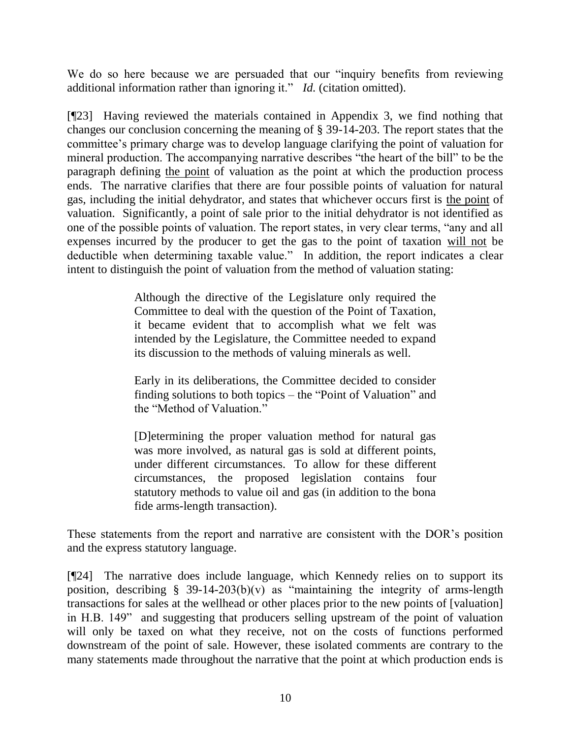We do so here because we are persuaded that our "inquiry benefits from reviewing additional information rather than ignoring it." *Id.* (citation omitted).

[¶23] Having reviewed the materials contained in Appendix 3, we find nothing that changes our conclusion concerning the meaning of § 39-14-203. The report states that the committee's primary charge was to develop language clarifying the point of valuation for mineral production. The accompanying narrative describes "the heart of the bill" to be the paragraph defining the point of valuation as the point at which the production process ends. The narrative clarifies that there are four possible points of valuation for natural gas, including the initial dehydrator, and states that whichever occurs first is the point of valuation. Significantly, a point of sale prior to the initial dehydrator is not identified as one of the possible points of valuation. The report states, in very clear terms, "any and all expenses incurred by the producer to get the gas to the point of taxation will not be deductible when determining taxable value." In addition, the report indicates a clear intent to distinguish the point of valuation from the method of valuation stating:

> Although the directive of the Legislature only required the Committee to deal with the question of the Point of Taxation, it became evident that to accomplish what we felt was intended by the Legislature, the Committee needed to expand its discussion to the methods of valuing minerals as well.

> Early in its deliberations, the Committee decided to consider finding solutions to both topics – the "Point of Valuation" and the "Method of Valuation."

> [D]etermining the proper valuation method for natural gas was more involved, as natural gas is sold at different points, under different circumstances. To allow for these different circumstances, the proposed legislation contains four statutory methods to value oil and gas (in addition to the bona fide arms-length transaction).

These statements from the report and narrative are consistent with the DOR's position and the express statutory language.

[¶24] The narrative does include language, which Kennedy relies on to support its position, describing  $\S$  39-14-203(b)(v) as "maintaining the integrity of arms-length transactions for sales at the wellhead or other places prior to the new points of [valuation] in H.B. 149" and suggesting that producers selling upstream of the point of valuation will only be taxed on what they receive, not on the costs of functions performed downstream of the point of sale. However, these isolated comments are contrary to the many statements made throughout the narrative that the point at which production ends is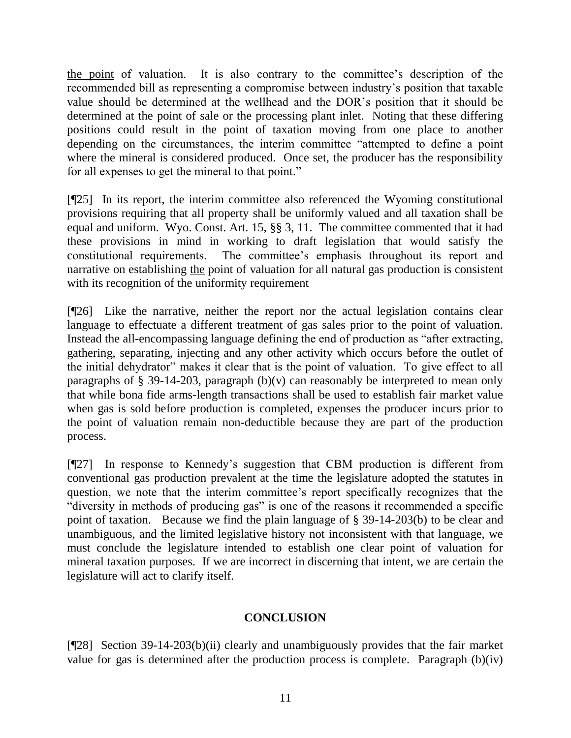the point of valuation. It is also contrary to the committee's description of the recommended bill as representing a compromise between industry's position that taxable value should be determined at the wellhead and the DOR's position that it should be determined at the point of sale or the processing plant inlet. Noting that these differing positions could result in the point of taxation moving from one place to another depending on the circumstances, the interim committee "attempted to define a point where the mineral is considered produced. Once set, the producer has the responsibility for all expenses to get the mineral to that point."

[¶25] In its report, the interim committee also referenced the Wyoming constitutional provisions requiring that all property shall be uniformly valued and all taxation shall be equal and uniform. Wyo. Const. Art. 15, §§ 3, 11. The committee commented that it had these provisions in mind in working to draft legislation that would satisfy the constitutional requirements. The committee's emphasis throughout its report and narrative on establishing the point of valuation for all natural gas production is consistent with its recognition of the uniformity requirement

[¶26] Like the narrative, neither the report nor the actual legislation contains clear language to effectuate a different treatment of gas sales prior to the point of valuation. Instead the all-encompassing language defining the end of production as "after extracting, gathering, separating, injecting and any other activity which occurs before the outlet of the initial dehydrator" makes it clear that is the point of valuation. To give effect to all paragraphs of § 39-14-203, paragraph  $(b)(v)$  can reasonably be interpreted to mean only that while bona fide arms-length transactions shall be used to establish fair market value when gas is sold before production is completed, expenses the producer incurs prior to the point of valuation remain non-deductible because they are part of the production process.

[¶27] In response to Kennedy's suggestion that CBM production is different from conventional gas production prevalent at the time the legislature adopted the statutes in question, we note that the interim committee's report specifically recognizes that the "diversity in methods of producing gas" is one of the reasons it recommended a specific point of taxation. Because we find the plain language of § 39-14-203(b) to be clear and unambiguous, and the limited legislative history not inconsistent with that language, we must conclude the legislature intended to establish one clear point of valuation for mineral taxation purposes. If we are incorrect in discerning that intent, we are certain the legislature will act to clarify itself.

## **CONCLUSION**

[¶28] Section 39-14-203(b)(ii) clearly and unambiguously provides that the fair market value for gas is determined after the production process is complete. Paragraph (b)(iv)